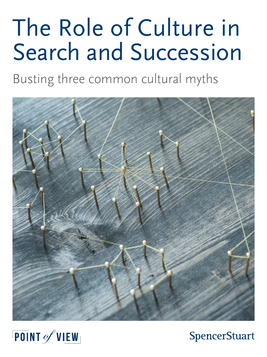# The Role of Culture in Search and Succession

Busting three common cultural myths





## **SpencerStuart**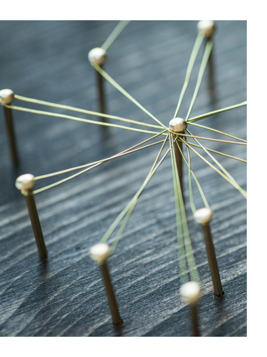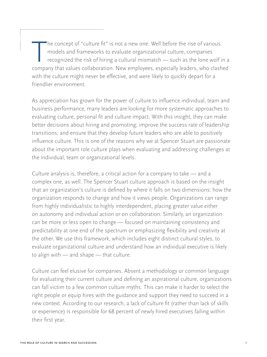The concept of "culture fit" is not a new one. Well before the rise of various models and frameworks to evaluate organizational culture, companies recognized the risk of hiring a cultural mismatch — such as the lone wolf i he concept of "culture fit" is not a new one. Well before the rise of various models and frameworks to evaluate organizational culture, companies recognized the risk of hiring a cultural mismatch — such as the lone wolf in a with the culture might never be effective, and were likely to quickly depart for a friendlier environment.

As appreciation has grown for the power of culture to influence individual, team and business performance, many leaders are looking for more systematic approaches to evaluating culture, personal fit and culture impact. With this insight, they can make better decisions about hiring and promoting; improve the success rate of leadership transitions; and ensure that they develop future leaders who are able to positively influence culture. This is one of the reasons why we at Spencer Stuart are passionate about the important role culture plays when evaluating and addressing challenges at the individual, team or organizational levels.

Culture analysis is, therefore, a critical action for a company to take — and a complex one, as well. The Spencer Stuart culture approach is based on the insight that an organization's culture is defined by where it falls on two dimensions: how the organization responds to change and how it views people. Organizations can range from highly individualistic to highly interdependent, placing greater value either on autonomy and individual action or on collaboration. Similarly, an organization can be more or less open to change — focused on maintaining consistency and predictability at one end of the spectrum or emphasizing flexibility and creativity at the other. We use this framework, which includes eight distinct cultural styles, to evaluate organizational culture and understand how an individual executive is likely to align with — and shape — that culture.

Culture can feel elusive for companies. Absent a methodology or common language for evaluating their current culture and defining an aspirational culture, organizations can fall victim to a few common culture myths. This can make it harder to select the right people or equip hires with the guidance and support they need to succeed in a new context. According to our research, a lack of culture fit (rather than lack of skills or experience) is responsible for 68 percent of newly hired executives failing within their first year.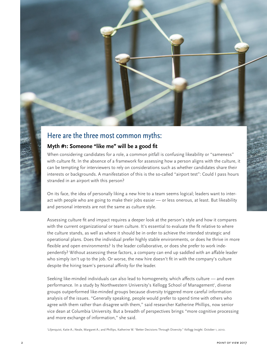

#### Here are the three most common myths:

#### **Myth #1: Someone "like me" will be a good fit**

When considering candidates for a role, a common pitfall is confusing likeability or "sameness" with culture fit. In the absence of a framework for assessing how a person aligns with the culture, it can be tempting for interviewers to rely on considerations such as whether candidates share their interests or backgrounds. A manifestation of this is the so-called "airport test": Could I pass hours stranded in an airport with this person?

On its face, the idea of personally liking a new hire to a team seems logical; leaders want to interact with people who are going to make their jobs easier — or less onerous, at least. But likeability and personal interests are not the same as culture style.

Assessing culture fit and impact requires a deeper look at the person's style and how it compares with the current organizational or team culture. It's essential to evaluate the fit relative to where the culture stands, as well as where it should be in order to achieve the intended strategic and operational plans. Does the individual prefer highly stable environments, or does he thrive in more flexible and open environments? Is the leader collaborative, or does she prefer to work independently? Without assessing these factors, a company can end up saddled with an affable leader who simply isn't up to the job. Or worse, the new hire doesn't fit in with the company's culture despite the hiring team's personal affinity for the leader.

Seeking like-minded individuals can also lead to homogeneity, which affects culture — and even performance. In a study by Northwestern University's Kellogg School of Management<sup>1</sup>, diverse groups outperformed like-minded groups because diversity triggered more careful information analysis of the issues. "Generally speaking, people would prefer to spend time with others who agree with them rather than disagree with them," said researcher Katherine Phillips, now senior vice dean at Columbia University. But a breadth of perspectives brings "more cognitive processing and more exchange of information," she said.

1 Liljenquist, Katie A.; Neale, Margaret A.; and Phillips, Katherine W. "Better Decisions Through Diversity." *Kellogg Insight*. October 1, 2010.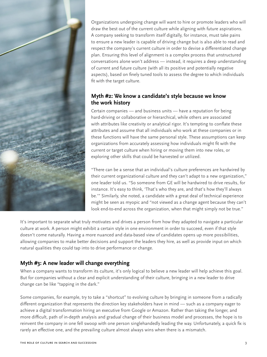

Organizations undergoing change will want to hire or promote leaders who will draw the best out of the current culture while aligning with future aspirations. A company seeking to transform itself digitally, for instance, must take pains to ensure a new leader is capable of driving change but is also able to read and respect the company's current culture in order to devise a differentiated change plan. Ensuring this level of alignment is a complex process that unstructured conversations alone won't address — instead, it requires a deep understanding of current and future culture (with all its positive and potentially negative aspects), based on finely tuned tools to assess the degree to which individuals fit with the target culture.

#### **Myth #2: We know a candidate's style because we know the work history**

Certain companies — and business units — have a reputation for being hard-driving or collaborative or hierarchical, while others are associated with attributes like creativity or analytical rigor. It's tempting to conflate these attributes and assume that all individuals who work at these companies or in these functions will have the same personal style. These assumptions can keep organizations from accurately assessing how individuals might fit with the current or target culture when hiring or moving them into new roles, or exploring other skills that could be harvested or utilized.

"There can be a sense that an individual's culture preferences are hardwired by their current organizational culture and they can't adapt to a new organization," one leader told us. "So someone from GE will be hardwired to drive results, for instance. It's easy to think, 'That's who they are, and that's how they'll always be.'" Similarly, she noted, a candidate with a great deal of technical experience might be seen as myopic and "not viewed as a change agent because they can't look end-to-end across the organization, when that might simply not be true."

It's important to separate what truly motivates and drives a person from how they adapted to navigate a particular culture at work. A person might exhibit a certain style in one environment in order to succeed, even if that style doesn't come naturally. Having a more nuanced and data-based view of candidates opens up more possibilities, allowing companies to make better decisions and support the leaders they hire, as well as provide input on which natural qualities they could tap into to drive performance or change.

#### **Myth #3: A new leader will change everything**

When a company wants to transform its culture, it's only logical to believe a new leader will help achieve this goal. But for companies without a clear and explicit understanding of their culture, bringing in a new leader to drive change can be like "tapping in the dark."

Some companies, for example, try to take a "shortcut" to evolving culture by bringing in someone from a radically different organization that represents the direction key stakeholders have in mind — such as a company eager to achieve a digital transformation hiring an executive from Google or Amazon. Rather than taking the longer, and more difficult, path of in-depth analysis and gradual change of their business model and processes, the hope is to reinvent the company in one fell swoop with one person singlehandedly leading the way. Unfortunately, a quick fix is rarely an effective one, and the prevailing culture almost always wins when there is a mismatch.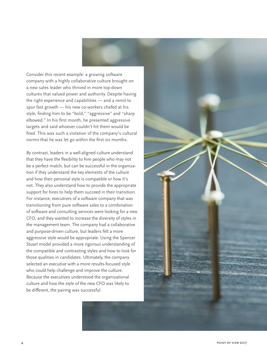Consider this recent example: a growing software company with a highly collaborative culture brought on a new sales leader who thrived in more top-down cultures that valued power and authority. Despite having the right experience and capabilities — and a remit to spur fast growth — his new co-workers chafed at his style, finding him to be "bold," "aggressive" and "sharp elbowed." In his first month, he presented aggressive targets and said whoever couldn't hit them would be fired. This was such a violation of the company's cultural norms that he was let go within the first six months.

By contrast, leaders in a well-aligned culture understand that they have the flexibility to hire people who may not be a perfect match, but can be successful in the organization if they understand the key elements of the culture and how their personal style is compatible or how it's not. They also understand how to provide the appropriate support for hires to help them succeed in their transition. For instance, executives of a software company that was transitioning from pure software sales to a combination of software and consulting services were looking for a new CFO, and they wanted to increase the diversity of styles in the management team. The company had a collaborative and purpose-driven culture, but leaders felt a more aggressive style would be appropriate. Using the Spencer Stuart model provided a more rigorous understanding of the compatible and contrasting styles and how to look for those qualities in candidates. Ultimately, the company selected an executive with a more results-focused style who could help challenge and improve the culture. Because the executives understood the organizational culture and how the style of the new CFO was likely to be different, the pairing was successful.

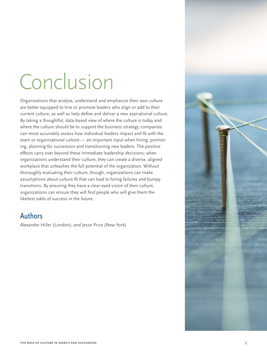## Conclusion

Organizations that analyze, understand and emphasize their own culture are better equipped to hire or promote leaders who align or add to their current culture, as well as help define and deliver a new aspirational culture. By taking a thoughtful, data-based view of where the culture is today and where the culture should be to support the business strategy, companies can more accurately assess how individual leaders impact and fit with the team or organizational culture — an important input when hiring, promoting, planning for succession and transitioning new leaders. The positive effects carry over beyond these immediate leadership decisions; when organizations understand their culture, they can create a diverse, aligned workplace that unleashes the full potential of the organization. Without thoroughly evaluating their culture, though, organizations can make assumptions about culture fit that can lead to hiring failures and bumpy transitions. By ensuring they have a clear-eyed vision of their culture, organizations can ensure they will find people who will give them the likeliest odds of success in the future.

#### Authors

[Alexander Hiller \(London\)](https://www.spencerstuart.com/our-consultants/alexander-hiller), and [Jesse Price \(New York\)](https://www.spencerstuart.com/our-consultants/jesse-m-price)